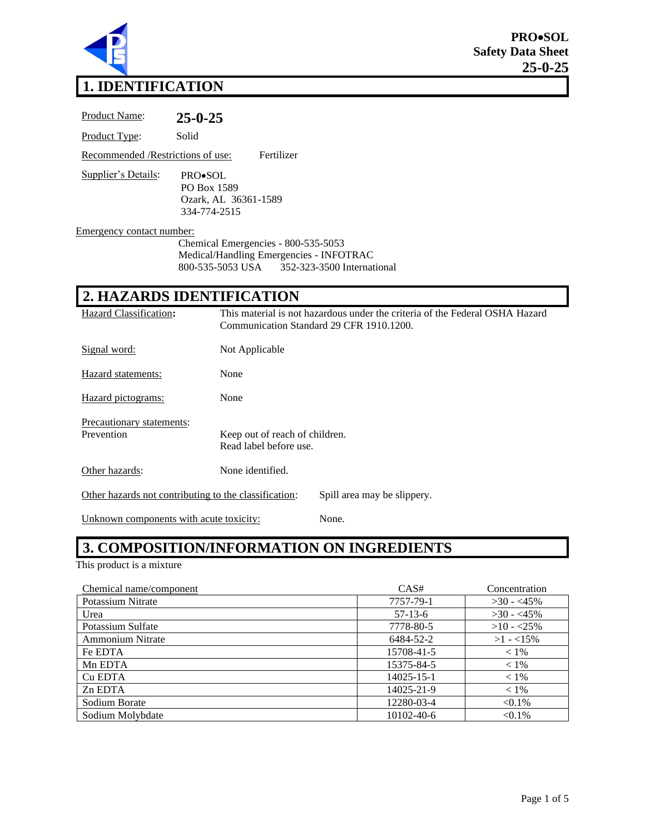

# **1. IDENTIFICATION**

| <b>Product Name:</b>               | $25 - 0 - 25$                                                                                                                 |
|------------------------------------|-------------------------------------------------------------------------------------------------------------------------------|
| Product Type:                      | Solid                                                                                                                         |
| Recommended / Restrictions of use: | Fertilizer                                                                                                                    |
| Supplier's Details:                | <b>PRO</b> •SOL<br>PO Box 1589<br>Ozark, AL 36361-1589<br>334-774-2515                                                        |
| Emergency contact number:          | Chemical Emergencies - 800-535-5053<br>Medical/Handling Emergencies - INFOTRAC<br>800-535-5053 USA 352-323-3500 International |
|                                    | 2. HAZARDS IDENTIFICATION                                                                                                     |

| Hazard Classification:                                                               | This material is not hazardous under the criteria of the Federal OSHA Hazard<br>Communication Standard 29 CFR 1910.1200. |  |
|--------------------------------------------------------------------------------------|--------------------------------------------------------------------------------------------------------------------------|--|
| Signal word:                                                                         | Not Applicable                                                                                                           |  |
| Hazard statements:                                                                   | None                                                                                                                     |  |
| Hazard pictograms:                                                                   | None                                                                                                                     |  |
| Precautionary statements:<br>Prevention                                              | Keep out of reach of children.<br>Read label before use.                                                                 |  |
| Other hazards:                                                                       | None identified.                                                                                                         |  |
| Other hazards not contributing to the classification:<br>Spill area may be slippery. |                                                                                                                          |  |
|                                                                                      |                                                                                                                          |  |

Unknown components with acute toxicity: None.

### **3. COMPOSITION/INFORMATION ON INGREDIENTS**

This product is a mixture

| Chemical name/component | CAS#             | Concentration |
|-------------------------|------------------|---------------|
| Potassium Nitrate       | 7757-79-1        | $>30 - 45\%$  |
| Urea                    | $57-13-6$        | $>30 - 45\%$  |
| Potassium Sulfate       | 7778-80-5        | $>10 - 25\%$  |
| <b>Ammonium Nitrate</b> | 6484-52-2        | $>1 - 15\%$   |
| Fe EDTA                 | 15708-41-5       | $< 1\%$       |
| Mn EDTA                 | 15375-84-5       | $< 1\%$       |
| Cu EDTA                 | $14025 - 15 - 1$ | $< 1\%$       |
| Zn EDTA                 | 14025-21-9       | $< 1\%$       |
| Sodium Borate           | 12280-03-4       | $< 0.1\%$     |
| Sodium Molybdate        | 10102-40-6       | $< 0.1\%$     |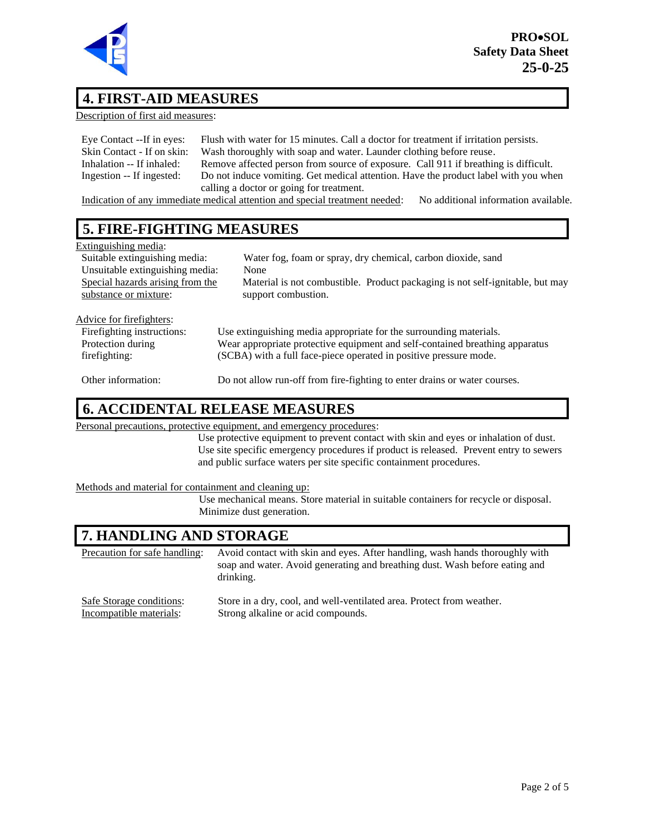

### **4. FIRST-AID MEASURES**

Description of first aid measures:

| Eye Contact --If in eyes:   | Flush with water for 15 minutes. Call a doctor for treatment if irritation persists.                                                                                                                                                           |
|-----------------------------|------------------------------------------------------------------------------------------------------------------------------------------------------------------------------------------------------------------------------------------------|
| Skin Contact - If on skin:  | Wash thoroughly with soap and water. Launder clothing before reuse.                                                                                                                                                                            |
| Inhalation -- If inhaled:   | Remove affected person from source of exposure. Call 911 if breathing is difficult.                                                                                                                                                            |
| Ingestion -- If ingested:   | Do not induce vomiting. Get medical attention. Have the product label with you when                                                                                                                                                            |
|                             | calling a doctor or going for treatment.                                                                                                                                                                                                       |
| $\sim$ $\sim$ $\sim$ $\sim$ | $\cdots$<br>$\mathcal{A}$ , and a set of the set of the set of the set of the set of the set of the set of the set of the set of the set of the set of the set of the set of the set of the set of the set of the set of the set of the set of |

Indication of any immediate medical attention and special treatment needed: No additional information available.

### **5. FIRE-FIGHTING MEASURES**

| Extinguishing media:             |                                                                               |
|----------------------------------|-------------------------------------------------------------------------------|
| Suitable extinguishing media:    | Water fog, foam or spray, dry chemical, carbon dioxide, sand                  |
| Unsuitable extinguishing media:  | None                                                                          |
| Special hazards arising from the | Material is not combustible. Product packaging is not self-ignitable, but may |
| substance or mixture:            | support combustion.                                                           |
|                                  |                                                                               |
| Advice for firefighters:         |                                                                               |
| Firefighting instructions:       | Use extinguishing media appropriate for the surrounding materials.            |
| Protection during                | Wear appropriate protective equipment and self-contained breathing apparatus  |
| firefighting:                    | (SCBA) with a full face-piece operated in positive pressure mode.             |
|                                  |                                                                               |
| Other information:               | Do not allow run-off from fire-fighting to enter drains or water courses.     |

#### **6. ACCIDENTAL RELEASE MEASURES**

Personal precautions, protective equipment, and emergency procedures:

Use protective equipment to prevent contact with skin and eyes or inhalation of dust. Use site specific emergency procedures if product is released. Prevent entry to sewers and public surface waters per site specific containment procedures.

Methods and material for containment and cleaning up:

Use mechanical means. Store material in suitable containers for recycle or disposal. Minimize dust generation.

### **7. HANDLING AND STORAGE**

Precaution for safe handling: Avoid contact with skin and eyes. After handling, wash hands thoroughly with soap and water. Avoid generating and breathing dust. Wash before eating and drinking.

| Safe Storage conditions: | Store in a dry, cool, and well-ventilated area. Protect from weather. |
|--------------------------|-----------------------------------------------------------------------|
| Incompatible materials:  | Strong alkaline or acid compounds.                                    |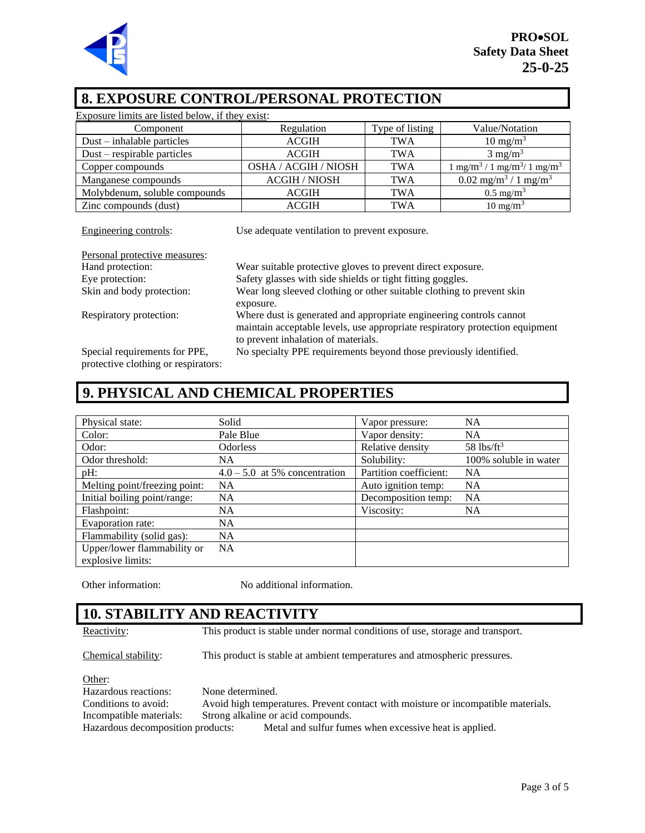

#### **8. EXPOSURE CONTROL/PERSONAL PROTECTION**

| Exposure limits are listed below, if they exist: |                      |                 |                                                          |
|--------------------------------------------------|----------------------|-----------------|----------------------------------------------------------|
| Component                                        | Regulation           | Type of listing | Value/Notation                                           |
| $Dust - inhalable particles$                     | <b>ACGIH</b>         | TWA             | $10 \text{ mg/m}^3$                                      |
| Dust – respirable particles                      | <b>ACGIH</b>         | <b>TWA</b>      | $3 \text{ mg/m}^3$                                       |
| Copper compounds                                 | OSHA / ACGIH / NIOSH | <b>TWA</b>      | $1 \text{ mg/m}^3 / 1 \text{ mg/m}^3 / 1 \text{ mg/m}^3$ |
| Manganese compounds                              | <b>ACGIH / NIOSH</b> | <b>TWA</b>      | $0.02$ mg/m <sup>3</sup> / 1 mg/m <sup>3</sup>           |
| Molybdenum, soluble compounds                    | <b>ACGIH</b>         | <b>TWA</b>      | $0.5 \text{ mg/m}^3$                                     |
| Zinc compounds (dust)                            | <b>ACGIH</b>         | <b>TWA</b>      | $10 \text{ mg/m}^3$                                      |

| Engineering controls:                                                | Use adequate ventilation to prevent exposure.                                                                                                                                              |
|----------------------------------------------------------------------|--------------------------------------------------------------------------------------------------------------------------------------------------------------------------------------------|
| Personal protective measures:                                        |                                                                                                                                                                                            |
| Hand protection:                                                     | Wear suitable protective gloves to prevent direct exposure.                                                                                                                                |
| Eye protection:                                                      | Safety glasses with side shields or tight fitting goggles.                                                                                                                                 |
| Skin and body protection:                                            | Wear long sleeved clothing or other suitable clothing to prevent skin<br>exposure.                                                                                                         |
| Respiratory protection:                                              | Where dust is generated and appropriate engineering controls cannot<br>maintain acceptable levels, use appropriate respiratory protection equipment<br>to prevent inhalation of materials. |
| Special requirements for PPE,<br>protective clothing or respirators: | No specialty PPE requirements beyond those previously identified.                                                                                                                          |

### **9. PHYSICAL AND CHEMICAL PROPERTIES**

| Physical state:               | Solid                           | Vapor pressure:        | NA                       |
|-------------------------------|---------------------------------|------------------------|--------------------------|
| Color:                        | Pale Blue                       | Vapor density:         | NA                       |
| Odor:                         | <b>Odorless</b>                 | Relative density       | $58$ lbs/ft <sup>3</sup> |
| Odor threshold:               | <b>NA</b>                       | Solubility:            | 100% soluble in water    |
| pH:                           | $4.0 - 5.0$ at 5% concentration | Partition coefficient: | <b>NA</b>                |
| Melting point/freezing point: | <b>NA</b>                       | Auto ignition temp:    | <b>NA</b>                |
| Initial boiling point/range:  | <b>NA</b>                       | Decomposition temp:    | <b>NA</b>                |
| Flashpoint:                   | <b>NA</b>                       | Viscosity:             | <b>NA</b>                |
| Evaporation rate:             | <b>NA</b>                       |                        |                          |
| Flammability (solid gas):     | <b>NA</b>                       |                        |                          |
| Upper/lower flammability or   | <b>NA</b>                       |                        |                          |
| explosive limits:             |                                 |                        |                          |

Other information: No additional information.

#### **10. STABILITY AND REACTIVITY**

Reactivity: This product is stable under normal conditions of use, storage and transport.

Chemical stability: This product is stable at ambient temperatures and atmospheric pressures.

Other: Hazardous reactions: None determined. Conditions to avoid: Avoid high temperatures. Prevent contact with moisture or incompatible materials. Incompatible materials: Strong alkaline or acid compounds. Hazardous decomposition products: Metal and sulfur fumes when excessive heat is applied.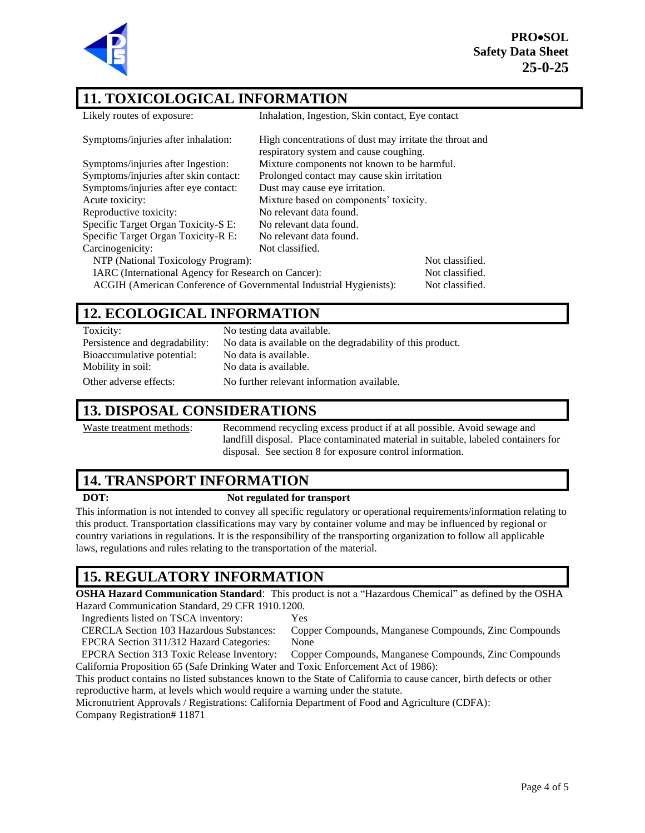**PRO**•**SOL Safety Data Sheet 25-0-25**



#### **11. TOXICOLOGICAL INFORMATION**

| Likely routes of exposure:                                         | Inhalation, Ingestion, Skin contact, Eye contact                                                  |                 |
|--------------------------------------------------------------------|---------------------------------------------------------------------------------------------------|-----------------|
| Symptoms/injuries after inhalation:                                | High concentrations of dust may irritate the throat and<br>respiratory system and cause coughing. |                 |
| Symptoms/injuries after Ingestion:                                 | Mixture components not known to be harmful.                                                       |                 |
| Symptoms/injuries after skin contact:                              | Prolonged contact may cause skin irritation                                                       |                 |
| Symptoms/injuries after eye contact:                               | Dust may cause eye irritation.                                                                    |                 |
| Acute toxicity:                                                    | Mixture based on components' toxicity.                                                            |                 |
| Reproductive toxicity:                                             | No relevant data found.                                                                           |                 |
| Specific Target Organ Toxicity-S E:                                | No relevant data found.                                                                           |                 |
| Specific Target Organ Toxicity-R E:                                | No relevant data found.                                                                           |                 |
| Carcinogenicity:                                                   | Not classified.                                                                                   |                 |
| NTP (National Toxicology Program):                                 |                                                                                                   | Not classified. |
| IARC (International Agency for Research on Cancer):                |                                                                                                   | Not classified. |
| ACGIH (American Conference of Governmental Industrial Hygienists): |                                                                                                   | Not classified. |

#### **12. ECOLOGICAL INFORMATION**

| Toxicity:                      | No testing data available.                                 |
|--------------------------------|------------------------------------------------------------|
| Persistence and degradability: | No data is available on the degradability of this product. |
| Bioaccumulative potential:     | No data is available.                                      |
| Mobility in soil:              | No data is available.                                      |
| Other adverse effects:         | No further relevant information available.                 |

#### **13. DISPOSAL CONSIDERATIONS**

Waste treatment methods: Recommend recycling excess product if at all possible. Avoid sewage and landfill disposal. Place contaminated material in suitable, labeled containers for disposal. See section 8 for exposure control information.

### **14. TRANSPORT INFORMATION**

#### **DOT: Not regulated for transport**

This information is not intended to convey all specific regulatory or operational requirements/information relating to this product. Transportation classifications may vary by container volume and may be influenced by regional or country variations in regulations. It is the responsibility of the transporting organization to follow all applicable laws, regulations and rules relating to the transportation of the material.

## **15. REGULATORY INFORMATION**

**OSHA Hazard Communication Standard**: This product is not a "Hazardous Chemical" as defined by the OSHA Hazard Communication Standard, 29 CFR 1910.1200.

Ingredients listed on TSCA inventory: Yes

CERCLA Section 103 Hazardous Substances: Copper Compounds, Manganese Compounds, Zinc Compounds EPCRA Section 311/312 Hazard Categories: None

EPCRA Section 313 Toxic Release Inventory: Copper Compounds, Manganese Compounds, Zinc Compounds California Proposition 65 (Safe Drinking Water and Toxic Enforcement Act of 1986):

This product contains no listed substances known to the State of California to cause cancer, birth defects or other reproductive harm, at levels which would require a warning under the statute.

Micronutrient Approvals / Registrations: California Department of Food and Agriculture (CDFA):

Company Registration# 11871